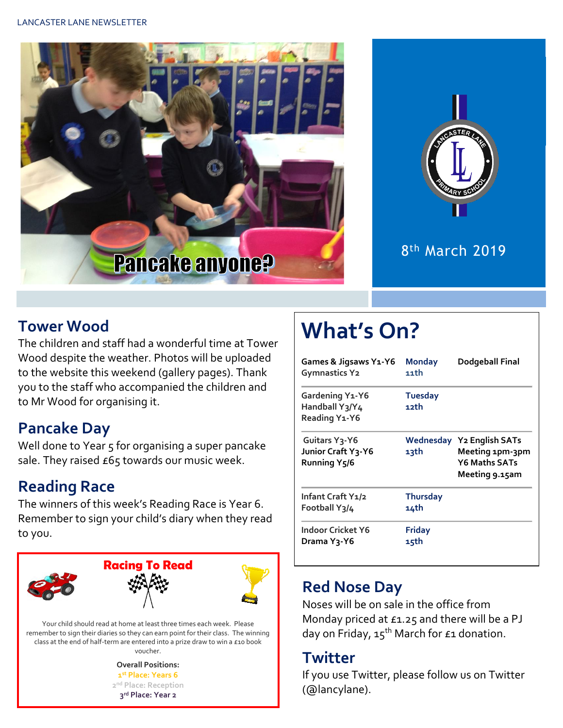



8 th March 2019

#### **Tower Wood**

The children and staff had a wonderful time at Tower Wood despite the weather. Photos will be uploaded to the website this weekend (gallery pages). Thank you to the staff who accompanied the children and to Mr Wood for organising it.

### **Pancake Day**

Well done to Year 5 for organising a super pancake sale. They raised  $E65$  towards our music week.

## **Reading Race**

The winners of this week's Reading Race is Year 6. Remember to sign your child's diary when they read to you.



Your child should read at home at least three times each week. Please remember to sign their diaries so they can earn point for their class. The winning class at the end of half-term are entered into a prize draw to win a £10 book voucher.

> **Overall Positions: st Place: Years 6 nd Place: Reception rd Place: Year 2**

# **What's On?**

| Games & Jigsaws Y1-Y6<br><b>Gymnastics Y2</b>                                 | <b>Monday</b><br>11th   | Dodgeball Final                                                                        |  |  |
|-------------------------------------------------------------------------------|-------------------------|----------------------------------------------------------------------------------------|--|--|
| Gardening Y1-Y6<br>Handball Y3/Y4<br>Reading Y1-Y6                            | <b>Tuesday</b><br>12th  |                                                                                        |  |  |
| Guitars Y <sub>3</sub> -Y6<br>Junior Craft Y3-Y6<br>Running Y <sub>5</sub> /6 | 13th                    | Wednesday Y2 English SATs<br>Meeting 1pm-3pm<br><b>Y6 Maths SATs</b><br>Meeting 9.15am |  |  |
| Infant Craft Y1/2<br>Football Y3/4                                            | <b>Thursday</b><br>14th |                                                                                        |  |  |
| <b>Indoor Cricket Y6</b><br>Drama Yวุ-Y6                                      | <b>Friday</b><br>15th   |                                                                                        |  |  |

### **Red Nose Day**

Noses will be on sale in the office from Monday priced at £1.25 and there will be a PJ day on Friday,  $15^{th}$  March for £1 donation.

#### **Twitter**

If you use Twitter, please follow us on Twitter (@lancylane).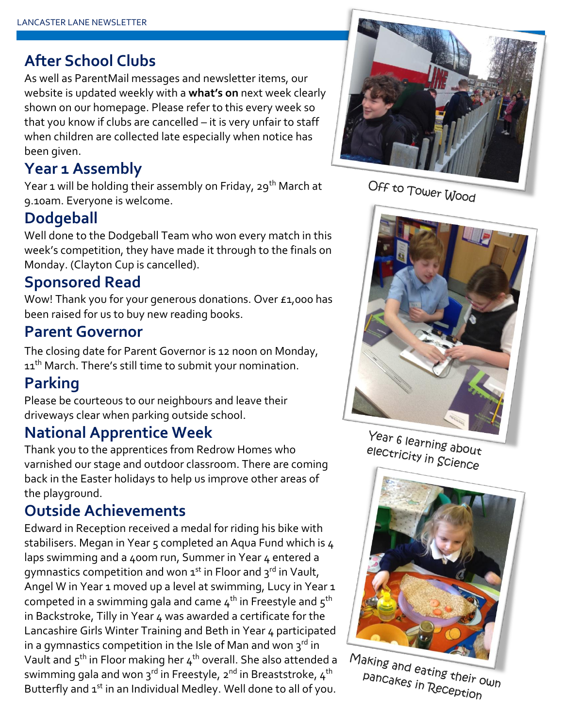#### **After School Clubs**

As well as ParentMail messages and newsletter items, our website is updated weekly with a **what's on** next week clearly shown on our homepage. Please refer to this every week so that you know if clubs are cancelled – it is very unfair to staff when children are collected late especially when notice has been given.

### **Year 1 Assembly**

Year 1 will be holding their assembly on Friday, 29<sup>th</sup> March at 9.10am. Everyone is welcome.

### **Dodgeball**

Well done to the Dodgeball Team who won every match in this week's competition, they have made it through to the finals on Monday. (Clayton Cup is cancelled).

#### **Sponsored Read**

Wow! Thank you for your generous donations. Over £1,000 has been raised for us to buy new reading books.

#### **Parent Governor**

The closing date for Parent Governor is 12 noon on Monday, 11<sup>th</sup> March. There's still time to submit your nomination.

## **Parking**

Please be courteous to our neighbours and leave their driveways clear when parking outside school.

### **National Apprentice Week**

Thank you to the apprentices from Redrow Homes who varnished our stage and outdoor classroom. There are coming back in the Easter holidays to help us improve other areas of the playground.

### **Outside Achievements**

Edward in Reception received a medal for riding his bike with stabilisers. Megan in Year 5 completed an Aqua Fund which is 4 laps swimming and a 400m run, Summer in Year 4 entered a gymnastics competition and won  $1^{st}$  in Floor and  $3^{rd}$  in Vault, Angel W in Year 1 moved up a level at swimming, Lucy in Year 1 competed in a swimming gala and came  $4<sup>th</sup>$  in Freestyle and  $5<sup>th</sup>$ in Backstroke, Tilly in Year 4 was awarded a certificate for the Lancashire Girls Winter Training and Beth in Year 4 participated in a gymnastics competition in the Isle of Man and won  $3<sup>rd</sup>$  in Vault and  $5^{\text{th}}$  in Floor making her  $4^{\text{th}}$  overall. She also attended a swimming gala and won  $3^{rd}$  in Freestyle,  $2^{nd}$  in Breaststroke,  $4^{th}$ Butterfly and 1<sup>st</sup> in an Individual Medley. Well done to all of you.



Off to Tower Wood



Year 6 learning about electricity in Science



Making and eating their own pancakes in Reception